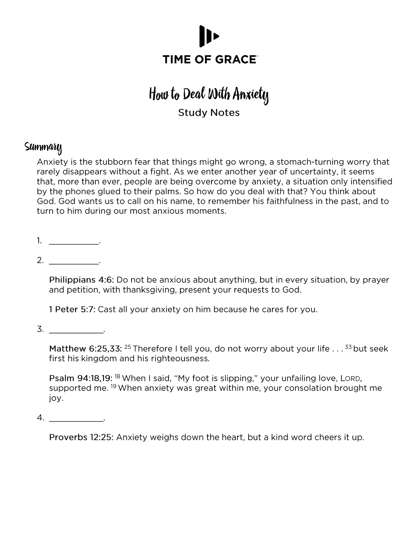

# How to Deal With Anxiety **Study Notes**

### Summary

Anxiety is the stubborn fear that things might go wrong, a stomach-turning worry that rarely disappears without a fight. As we enter another year of uncertainty, it seems that, more than ever, people are being overcome by anxiety, a situation only intensified by the phones glued to their palms. So how do you deal with that? You think about God. God wants us to call on his name, to remember his faithfulness in the past, and to turn to him during our most anxious moments.

 $2.$ 

Philippians 4:6: Do not be anxious about anything, but in every situation, by prayer and petition, with thanksgiving, present your requests to God.

1 Peter 5:7: Cast all your anxiety on him because he cares for you.

 $\overline{3}$ .

Matthew 6:25,33: <sup>25</sup> Therefore I tell you, do not worry about your life . . . <sup>33</sup> but seek first his kingdom and his righteousness.

Psalm 94:18,19: <sup>18</sup> When I said, "My foot is slipping," your unfailing love, LORD, supported me. <sup>19</sup> When anxiety was great within me, your consolation brought me joy.

 $4.$ 

Proverbs 12:25: Anxiety weighs down the heart, but a kind word cheers it up.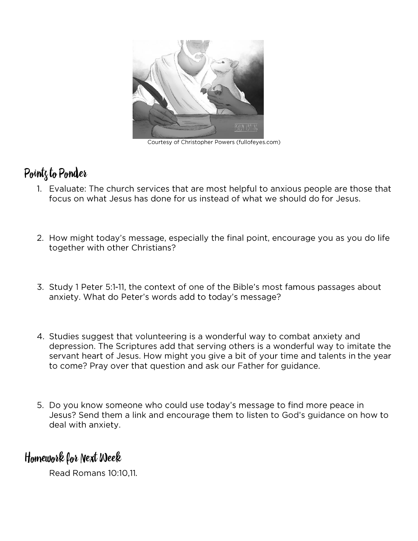

Courtesy of Christopher Powers (fullofeyes.com)

## Pointz to Ponder

- 1. Evaluate: The church services that are most helpful to anxious people are those that focus on what Jesus has done for us instead of what we should do for Jesus.
- 2. How might today's message, especially the final point, encourage you as you do life together with other Christians?
- 3. Study 1 Peter 5:1-11, the context of one of the Bible's most famous passages about anxiety. What do Peter's words add to today's message?
- 4. Studies suggest that volunteering is a wonderful way to combat anxiety and depression. The Scriptures add that serving others is a wonderful way to imitate the servant heart of Jesus. How might you give a bit of your time and talents in the year to come? Pray over that question and ask our Father for guidance.
- 5. Do you know someone who could use today's message to find more peace in Jesus? Send them a link and encourage them to listen to God's guidance on how to deal with anxiety.

### Homework for Next Week

Read Romans 10:10,11.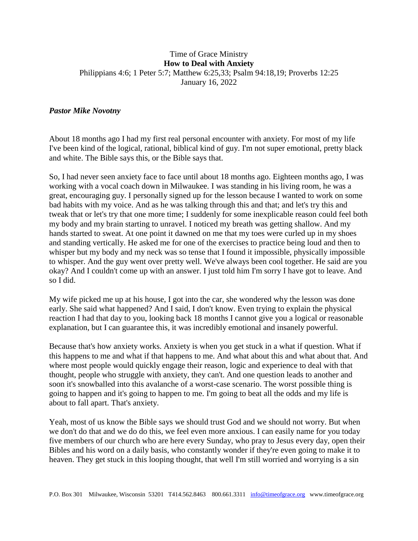#### Time of Grace Ministry **How to Deal with Anxiety** Philippians 4:6; 1 Peter 5:7; Matthew 6:25,33; Psalm 94:18,19; Proverbs 12:25 January 16, 2022

#### *Pastor Mike Novotny*

About 18 months ago I had my first real personal encounter with anxiety. For most of my life I've been kind of the logical, rational, biblical kind of guy. I'm not super emotional, pretty black and white. The Bible says this, or the Bible says that.

So, I had never seen anxiety face to face until about 18 months ago. Eighteen months ago, I was working with a vocal coach down in Milwaukee. I was standing in his living room, he was a great, encouraging guy. I personally signed up for the lesson because I wanted to work on some bad habits with my voice. And as he was talking through this and that; and let's try this and tweak that or let's try that one more time; I suddenly for some inexplicable reason could feel both my body and my brain starting to unravel. I noticed my breath was getting shallow. And my hands started to sweat. At one point it dawned on me that my toes were curled up in my shoes and standing vertically. He asked me for one of the exercises to practice being loud and then to whisper but my body and my neck was so tense that I found it impossible, physically impossible to whisper. And the guy went over pretty well. We've always been cool together. He said are you okay? And I couldn't come up with an answer. I just told him I'm sorry I have got to leave. And so I did.

My wife picked me up at his house, I got into the car, she wondered why the lesson was done early. She said what happened? And I said, I don't know. Even trying to explain the physical reaction I had that day to you, looking back 18 months I cannot give you a logical or reasonable explanation, but I can guarantee this, it was incredibly emotional and insanely powerful.

Because that's how anxiety works. Anxiety is when you get stuck in a what if question. What if this happens to me and what if that happens to me. And what about this and what about that. And where most people would quickly engage their reason, logic and experience to deal with that thought, people who struggle with anxiety, they can't. And one question leads to another and soon it's snowballed into this avalanche of a worst-case scenario. The worst possible thing is going to happen and it's going to happen to me. I'm going to beat all the odds and my life is about to fall apart. That's anxiety.

Yeah, most of us know the Bible says we should trust God and we should not worry. But when we don't do that and we do do this, we feel even more anxious. I can easily name for you today five members of our church who are here every Sunday, who pray to Jesus every day, open their Bibles and his word on a daily basis, who constantly wonder if they're even going to make it to heaven. They get stuck in this looping thought, that well I'm still worried and worrying is a sin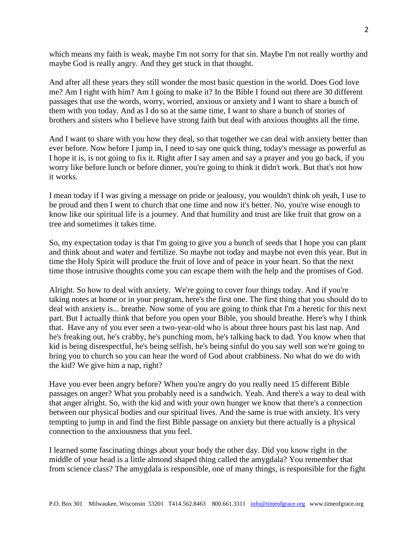which means my faith is weak, maybe I'm not sorry for that sin. Maybe I'm not really worthy and maybe God is really angry. And they get stuck in that thought.

And after all these years they still wonder the most basic question in the world. Does God love me? Am I right with him? Am I going to make it? In the Bible I found out there are 30 different passages that use the words, worry, worried, anxious or anxiety and I want to share a bunch of them with you today. And as I do so at the same time, I want to share a bunch of stories of brothers and sisters who I believe have strong faith but deal with anxious thoughts all the time.

And I want to share with you how they deal, so that together we can deal with anxiety better than ever before. Now before I jump in, I need to say one quick thing, today's message as powerful as I hope it is, is not going to fix it. Right after I say amen and say a prayer and you go back, if you worry like before lunch or before dinner, you're going to think it didn't work. But that's not how it works.

I mean today if I was giving a message on pride or jealousy, you wouldn't think oh yeah, I use to be proud and then I went to church that one time and now it's better. No, you're wise enough to know like our spiritual life is a journey. And that humility and trust are like fruit that grow on a tree and sometimes it takes time.

So, my expectation today is that I'm going to give you a bunch of seeds that I hope you can plant and think about and water and fertilize. So maybe not today and maybe not even this year. But in time the Holy Spirit will produce the fruit of love and of peace in your heart. So that the next time those intrusive thoughts come you can escape them with the help and the promises of God.

Alright. So how to deal with anxiety. We're going to cover four things today. And if you're taking notes at home or in your program, here's the first one. The first thing that you should do to deal with anxiety is... breathe. Now some of you are going to think that I'm a heretic for this next part. But I actually think that before you open your Bible, you should breathe. Here's why I think that. Have any of you ever seen a two-year-old who is about three hours past his last nap. And he's freaking out, he's crabby, he's punching mom, he's talking back to dad. You know when that kid is being disrespectful, he's being selfish, he's being sinful do you say well son we're going to bring you to church so you can hear the word of God about crabbiness. No what do we do with the kid? We give him a nap, right?

Have you ever been angry before? When you're angry do you really need 15 different Bible passages on anger? What you probably need is a sandwich. Yeah. And there's a way to deal with that anger alright. So, with the kid and with your own hunger we know that there's a connection between our physical bodies and our spiritual lives. And the same is true with anxiety. It's very tempting to jump in and find the first Bible passage on anxiety but there actually is a physical connection to the anxiousness that you feel.

I learned some fascinating things about your body the other day. Did you know right in the middle of your head is a little almond shaped thing called the amygdala? You remember that from science class? The amygdala is responsible, one of many things, is responsible for the fight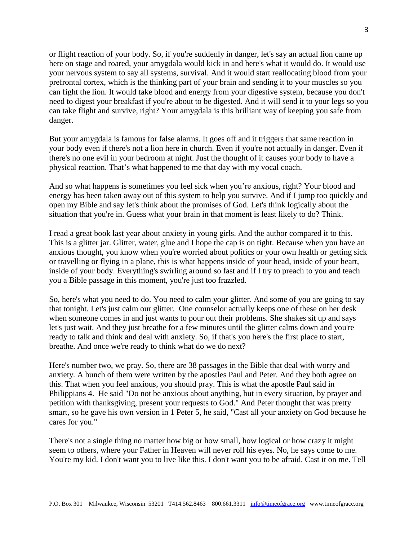or flight reaction of your body. So, if you're suddenly in danger, let's say an actual lion came up here on stage and roared, your amygdala would kick in and here's what it would do. It would use your nervous system to say all systems, survival. And it would start reallocating blood from your prefrontal cortex, which is the thinking part of your brain and sending it to your muscles so you can fight the lion. It would take blood and energy from your digestive system, because you don't need to digest your breakfast if you're about to be digested. And it will send it to your legs so you can take flight and survive, right? Your amygdala is this brilliant way of keeping you safe from danger.

But your amygdala is famous for false alarms. It goes off and it triggers that same reaction in your body even if there's not a lion here in church. Even if you're not actually in danger. Even if there's no one evil in your bedroom at night. Just the thought of it causes your body to have a physical reaction. That's what happened to me that day with my vocal coach.

And so what happens is sometimes you feel sick when you're anxious, right? Your blood and energy has been taken away out of this system to help you survive. And if I jump too quickly and open my Bible and say let's think about the promises of God. Let's think logically about the situation that you're in. Guess what your brain in that moment is least likely to do? Think.

I read a great book last year about anxiety in young girls. And the author compared it to this. This is a glitter jar. Glitter, water, glue and I hope the cap is on tight. Because when you have an anxious thought, you know when you're worried about politics or your own health or getting sick or travelling or flying in a plane, this is what happens inside of your head, inside of your heart, inside of your body. Everything's swirling around so fast and if I try to preach to you and teach you a Bible passage in this moment, you're just too frazzled.

So, here's what you need to do. You need to calm your glitter. And some of you are going to say that tonight. Let's just calm our glitter. One counselor actually keeps one of these on her desk when someone comes in and just wants to pour out their problems. She shakes sit up and says let's just wait. And they just breathe for a few minutes until the glitter calms down and you're ready to talk and think and deal with anxiety. So, if that's you here's the first place to start, breathe. And once we're ready to think what do we do next?

Here's number two, we pray. So, there are 38 passages in the Bible that deal with worry and anxiety. A bunch of them were written by the apostles Paul and Peter. And they both agree on this. That when you feel anxious, you should pray. This is what the apostle Paul said in Philippians 4. He said "Do not be anxious about anything, but in every situation, by prayer and petition with thanksgiving, present your requests to God." And Peter thought that was pretty smart, so he gave his own version in 1 Peter 5, he said, "Cast all your anxiety on God because he cares for you."

There's not a single thing no matter how big or how small, how logical or how crazy it might seem to others, where your Father in Heaven will never roll his eyes. No, he says come to me. You're my kid. I don't want you to live like this. I don't want you to be afraid. Cast it on me. Tell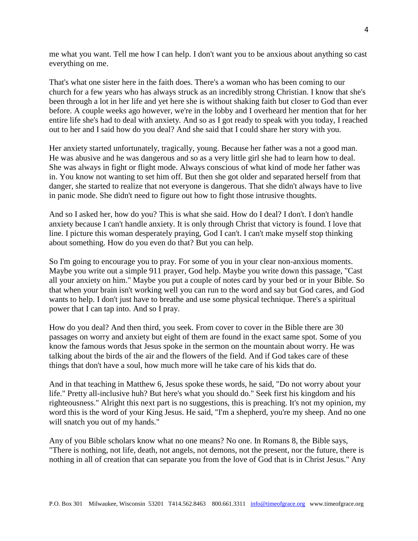me what you want. Tell me how I can help. I don't want you to be anxious about anything so cast everything on me.

That's what one sister here in the faith does. There's a woman who has been coming to our church for a few years who has always struck as an incredibly strong Christian. I know that she's been through a lot in her life and yet here she is without shaking faith but closer to God than ever before. A couple weeks ago however, we're in the lobby and I overheard her mention that for her entire life she's had to deal with anxiety. And so as I got ready to speak with you today, I reached out to her and I said how do you deal? And she said that I could share her story with you.

Her anxiety started unfortunately, tragically, young. Because her father was a not a good man. He was abusive and he was dangerous and so as a very little girl she had to learn how to deal. She was always in fight or flight mode. Always conscious of what kind of mode her father was in. You know not wanting to set him off. But then she got older and separated herself from that danger, she started to realize that not everyone is dangerous. That she didn't always have to live in panic mode. She didn't need to figure out how to fight those intrusive thoughts.

And so I asked her, how do you? This is what she said. How do I deal? I don't. I don't handle anxiety because I can't handle anxiety. It is only through Christ that victory is found. I love that line. I picture this woman desperately praying, God I can't. I can't make myself stop thinking about something. How do you even do that? But you can help.

So I'm going to encourage you to pray. For some of you in your clear non-anxious moments. Maybe you write out a simple 911 prayer, God help. Maybe you write down this passage, "Cast all your anxiety on him." Maybe you put a couple of notes card by your bed or in your Bible. So that when your brain isn't working well you can run to the word and say but God cares, and God wants to help. I don't just have to breathe and use some physical technique. There's a spiritual power that I can tap into. And so I pray.

How do you deal? And then third, you seek. From cover to cover in the Bible there are 30 passages on worry and anxiety but eight of them are found in the exact same spot. Some of you know the famous words that Jesus spoke in the sermon on the mountain about worry. He was talking about the birds of the air and the flowers of the field. And if God takes care of these things that don't have a soul, how much more will he take care of his kids that do.

And in that teaching in Matthew 6, Jesus spoke these words, he said, "Do not worry about your life." Pretty all-inclusive huh? But here's what you should do." Seek first his kingdom and his righteousness." Alright this next part is no suggestions, this is preaching. It's not my opinion, my word this is the word of your King Jesus. He said, "I'm a shepherd, you're my sheep. And no one will snatch you out of my hands."

Any of you Bible scholars know what no one means? No one. In Romans 8, the Bible says, "There is nothing, not life, death, not angels, not demons, not the present, nor the future, there is nothing in all of creation that can separate you from the love of God that is in Christ Jesus." Any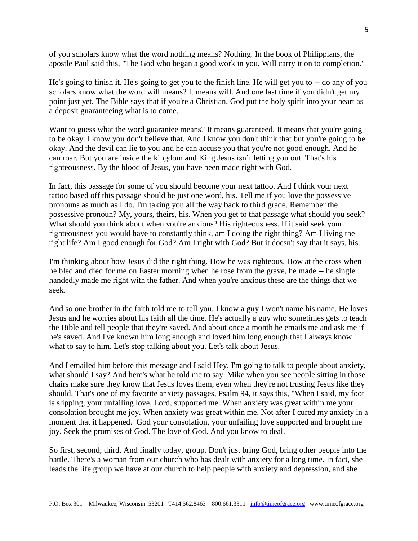of you scholars know what the word nothing means? Nothing. In the book of Philippians, the apostle Paul said this, "The God who began a good work in you. Will carry it on to completion."

He's going to finish it. He's going to get you to the finish line. He will get you to -- do any of you scholars know what the word will means? It means will. And one last time if you didn't get my point just yet. The Bible says that if you're a Christian, God put the holy spirit into your heart as a deposit guaranteeing what is to come.

Want to guess what the word guarantee means? It means guaranteed. It means that you're going to be okay. I know you don't believe that. And I know you don't think that but you're going to be okay. And the devil can lie to you and he can accuse you that you're not good enough. And he can roar. But you are inside the kingdom and King Jesus isn't letting you out. That's his righteousness. By the blood of Jesus, you have been made right with God.

In fact, this passage for some of you should become your next tattoo. And I think your next tattoo based off this passage should be just one word, his. Tell me if you love the possessive pronouns as much as I do. I'm taking you all the way back to third grade. Remember the possessive pronoun? My, yours, theirs, his. When you get to that passage what should you seek? What should you think about when you're anxious? His righteousness. If it said seek your righteousness you would have to constantly think, am I doing the right thing? Am I living the right life? Am I good enough for God? Am I right with God? But it doesn't say that it says, his.

I'm thinking about how Jesus did the right thing. How he was righteous. How at the cross when he bled and died for me on Easter morning when he rose from the grave, he made -- he single handedly made me right with the father. And when you're anxious these are the things that we seek.

And so one brother in the faith told me to tell you, I know a guy I won't name his name. He loves Jesus and he worries about his faith all the time. He's actually a guy who sometimes gets to teach the Bible and tell people that they're saved. And about once a month he emails me and ask me if he's saved. And I've known him long enough and loved him long enough that I always know what to say to him. Let's stop talking about you. Let's talk about Jesus.

And I emailed him before this message and I said Hey, I'm going to talk to people about anxiety, what should I say? And here's what he told me to say. Mike when you see people sitting in those chairs make sure they know that Jesus loves them, even when they're not trusting Jesus like they should. That's one of my favorite anxiety passages, Psalm 94, it says this, "When I said, my foot is slipping, your unfailing love, Lord, supported me. When anxiety was great within me your consolation brought me joy. When anxiety was great within me. Not after I cured my anxiety in a moment that it happened. God your consolation, your unfailing love supported and brought me joy. Seek the promises of God. The love of God. And you know to deal.

So first, second, third. And finally today, group. Don't just bring God, bring other people into the battle. There's a woman from our church who has dealt with anxiety for a long time. In fact, she leads the life group we have at our church to help people with anxiety and depression, and she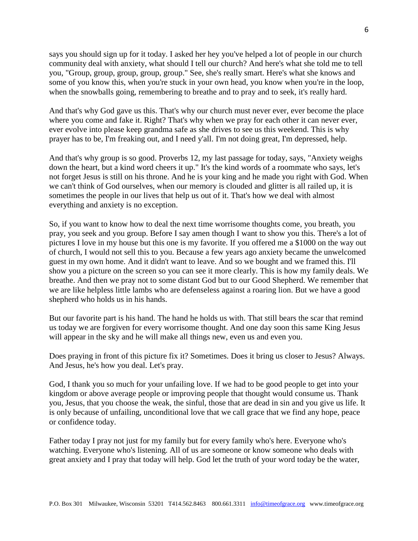says you should sign up for it today. I asked her hey you've helped a lot of people in our church community deal with anxiety, what should I tell our church? And here's what she told me to tell you, "Group, group, group, group, group." See, she's really smart. Here's what she knows and some of you know this, when you're stuck in your own head, you know when you're in the loop, when the snowballs going, remembering to breathe and to pray and to seek, it's really hard.

And that's why God gave us this. That's why our church must never ever, ever become the place where you come and fake it. Right? That's why when we pray for each other it can never ever, ever evolve into please keep grandma safe as she drives to see us this weekend. This is why prayer has to be, I'm freaking out, and I need y'all. I'm not doing great, I'm depressed, help.

And that's why group is so good. Proverbs 12, my last passage for today, says, "Anxiety weighs down the heart, but a kind word cheers it up." It's the kind words of a roommate who says, let's not forget Jesus is still on his throne. And he is your king and he made you right with God. When we can't think of God ourselves, when our memory is clouded and glitter is all railed up, it is sometimes the people in our lives that help us out of it. That's how we deal with almost everything and anxiety is no exception.

So, if you want to know how to deal the next time worrisome thoughts come, you breath, you pray, you seek and you group. Before I say amen though I want to show you this. There's a lot of pictures I love in my house but this one is my favorite. If you offered me a \$1000 on the way out of church, I would not sell this to you. Because a few years ago anxiety became the unwelcomed guest in my own home. And it didn't want to leave. And so we bought and we framed this. I'll show you a picture on the screen so you can see it more clearly. This is how my family deals. We breathe. And then we pray not to some distant God but to our Good Shepherd. We remember that we are like helpless little lambs who are defenseless against a roaring lion. But we have a good shepherd who holds us in his hands.

But our favorite part is his hand. The hand he holds us with. That still bears the scar that remind us today we are forgiven for every worrisome thought. And one day soon this same King Jesus will appear in the sky and he will make all things new, even us and even you.

Does praying in front of this picture fix it? Sometimes. Does it bring us closer to Jesus? Always. And Jesus, he's how you deal. Let's pray.

God, I thank you so much for your unfailing love. If we had to be good people to get into your kingdom or above average people or improving people that thought would consume us. Thank you, Jesus, that you choose the weak, the sinful, those that are dead in sin and you give us life. It is only because of unfailing, unconditional love that we call grace that we find any hope, peace or confidence today.

Father today I pray not just for my family but for every family who's here. Everyone who's watching. Everyone who's listening. All of us are someone or know someone who deals with great anxiety and I pray that today will help. God let the truth of your word today be the water,